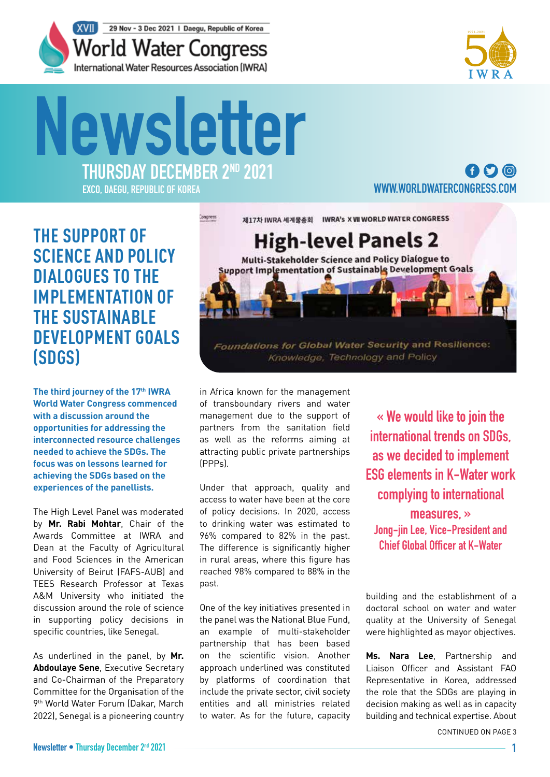



# **THURSDAY DECEMBER 2ND 2021 Newsletter**

**EXCO, DAEGU, REPUBLIC OF KOREA**

## $\mathbf \Omega$  $\mathbf \Omega$ **[WWW.WORLDWATERCONGRESS.COM](https://www.worldwatercongress.com/)**

## **THE SUPPORT OF SCIENCE AND POLICY DIALOGUES TO THE IMPLEMENTATION OF THE SUSTAINABLE DEVELOPMENT GOALS (SDGS)**

The third journey of the 17<sup>th</sup> IWRA **World Water Congress commenced with a discussion around the opportunities for addressing the interconnected resource challenges needed to achieve the SDGs. The focus was on lessons learned for achieving the SDGs based on the experiences of the panellists.**

The High Level Panel was moderated by **Mr. Rabi Mohtar**, Chair of the Awards Committee at IWRA and Dean at the Faculty of Agricultural and Food Sciences in the American University of Beirut (FAFS-AUB) and TEES Research Professor at Texas A&M University who initiated the discussion around the role of science in supporting policy decisions in specific countries, like Senegal.

As underlined in the panel, by **Mr. Abdoulaye Sene**, Executive Secretary and Co-Chairman of the Preparatory Committee for the Organisation of the 9th World Water Forum (Dakar, March 2022), Senegal is a pioneering country

제17차 IWRA 세계물총회 IWRA's X VII WORLD WATER CONGRESS bingress **High-level Panels 2** Multi-Stakeholder Science and Policy Dialogue to **Support Implementation of Sustainable Development Goals** Foundations for Global Water Security and Resilience:

Knowledge, Technology and Policy

in Africa known for the management of transboundary rivers and water management due to the support of partners from the sanitation field as well as the reforms aiming at attracting public private partnerships (PPPs).

Under that approach, quality and access to water have been at the core of policy decisions. In 2020, access to drinking water was estimated to 96% compared to 82% in the past. The difference is significantly higher in rural areas, where this figure has reached 98% compared to 88% in the past.

One of the key initiatives presented in the panel was the National Blue Fund, an example of multi-stakeholder partnership that has been based on the scientific vision. Another approach underlined was constituted by platforms of coordination that include the private sector, civil society entities and all ministries related to water. As for the future, capacity

**« We would like to join the international trends on SDGs, as we decided to implement ESG elements in K-Water work complying to international measures, » Jong-jin Lee, Vice-President and Chief Global Officer at K-Water** 

building and the establishment of a doctoral school on water and water quality at the University of Senegal were highlighted as mayor objectives.

**Ms. Nara Lee**, Partnership and Liaison Officer and Assistant FAO Representative in Korea, addressed the role that the SDGs are playing in decision making as well as in capacity building and technical expertise. About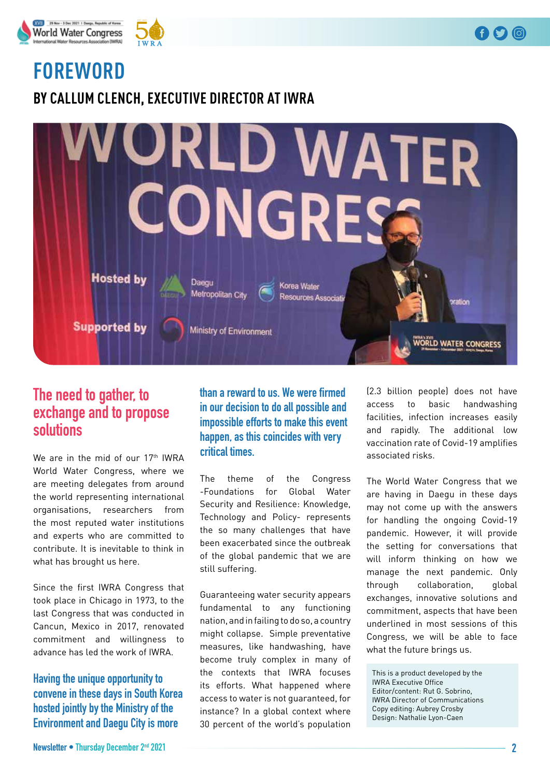



# **FOREWORD**

**BY CALLUM CLENCH, EXECUTIVE DIRECTOR AT IWRA**



## **The need to gather, to exchange and to propose solutions**

We are in the mid of our 17<sup>th</sup> IWRA World Water Congress, where we are meeting delegates from around the world representing international organisations, researchers from the most reputed water institutions and experts who are committed to contribute. It is inevitable to think in what has brought us here.

Since the first IWRA Congress that took place in Chicago in 1973, to the last Congress that was conducted in Cancun, Mexico in 2017, renovated commitment and willingness to advance has led the work of IWRA.

**Having the unique opportunity to convene in these days in South Korea hosted jointly by the Ministry of the Environment and Daegu City is more** 

**than a reward to us. We were frmed in our decision to do all possible and impossible efforts to make this event happen, as this coincides with very critical times.**

The theme of the Congress -Foundations for Global Water Security and Resilience: Knowledge, Technology and Policy- represents the so many challenges that have been exacerbated since the outbreak of the global pandemic that we are still suffering.

Guaranteeing water security appears fundamental to any functioning nation, and in failing to do so, a country might collapse. Simple preventative measures, like handwashing, have become truly complex in many of the contexts that IWRA focuses its efforts. What happened where access to water is not guaranteed, for instance? In a global context where 30 percent of the world's population

(2.3 billion people) does not have access to basic handwashing facilities, infection increases easily and rapidly. The additional low vaccination rate of Covid-19 amplifies associated risks.

The World Water Congress that we are having in Daegu in these days may not come up with the answers for handling the ongoing Covid-19 pandemic. However, it will provide the setting for conversations that will inform thinking on how we manage the next pandemic. Only through collaboration, global exchanges, innovative solutions and commitment, aspects that have been underlined in most sessions of this Congress, we will be able to face what the future brings us.

This is a product developed by the IWRA Executive Office Editor/content: Rut G. Sobrino, IWRA Director of Communications Copy editing: Aubrey Crosby Design: Nathalie Lyon-Caen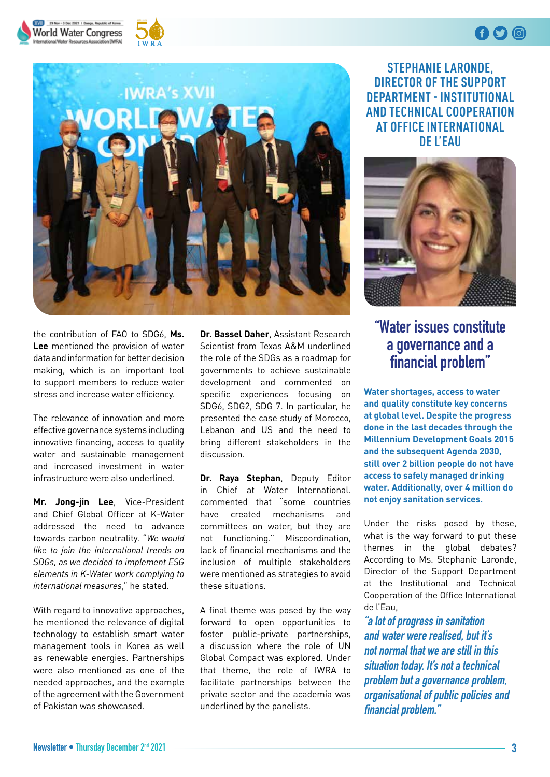





the contribution of FAO to SDG6, **Ms. Lee** mentioned the provision of water data and information for better decision making, which is an important tool to support members to reduce water stress and increase water efficiency.

The relevance of innovation and more effective governance systems including innovative financing, access to quality water and sustainable management and increased investment in water infrastructure were also underlined.

**Mr. Jong-jin Lee**, Vice-President and Chief Global Officer at K-Water addressed the need to advance towards carbon neutrality. "*We would like to join the international trends on SDGs, as we decided to implement ESG elements in K-Water work complying to international measures*," he stated.

With regard to innovative approaches, he mentioned the relevance of digital technology to establish smart water management tools in Korea as well as renewable energies. Partnerships were also mentioned as one of the needed approaches, and the example of the agreement with the Government of Pakistan was showcased.

**Dr. Bassel Daher**, Assistant Research Scientist from Texas A&M underlined the role of the SDGs as a roadmap for governments to achieve sustainable development and commented on specific experiences focusing on SDG6, SDG2, SDG 7. In particular, he presented the case study of Morocco, Lebanon and US and the need to bring different stakeholders in the discussion.

**Dr. Raya Stephan**, Deputy Editor in Chief at Water International. commented that "some countries have created mechanisms and committees on water, but they are not functioning." Miscoordination, lack of financial mechanisms and the inclusion of multiple stakeholders were mentioned as strategies to avoid these situations.

A final theme was posed by the way forward to open opportunities to foster public-private partnerships, a discussion where the role of UN Global Compact was explored. Under that theme, the role of IWRA to facilitate partnerships between the private sector and the academia was underlined by the panelists.

**STEPHANIE LARONDE, DIRECTOR OF THE SUPPORT DEPARTMENT - INSTITUTIONAL AND TECHNICAL COOPERATION AT OFFICE INTERNATIONAL DE L'EAU**

 $\mathbf 0$ 



## **"Water issues constitute a governance and a fnancial problem"**

**Water shortages, access to water and quality constitute key concerns at global level. Despite the progress done in the last decades through the Millennium Development Goals 2015 and the subsequent Agenda 2030, still over 2 billion people do not have access to safely managed drinking water. Additionally, over 4 million do not enjoy sanitation services.** 

Under the risks posed by these, what is the way forward to put these themes in the global debates? According to Ms. Stephanie Laronde, Director of the Support Department at the Institutional and Technical Cooperation of the Office International de l'Eau,

**"a lot of progress in sanitation and water were realised, but it's not normal that we are still in this situation today. It's not a technical problem but a governance problem, organisational of public policies and fnancial problem."**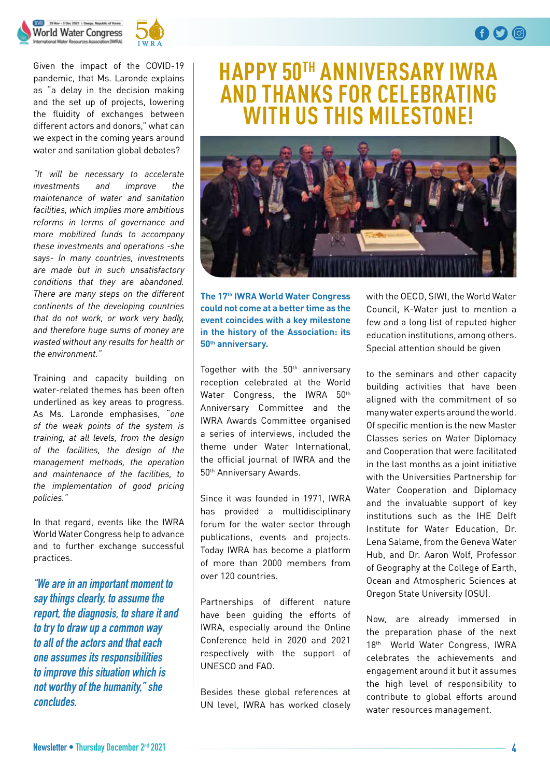## XVII 29 Nov - 3 Dec 2021 | Deepu, Republic of Korea **World Water Congress**



Given the impact of the COVID-19 pandemic, that Ms. Laronde explains as "a delay in the decision making and the set up of projects, lowering the fluidity of exchanges between different actors and donors," what can we expect in the coming years around water and sanitation global debates?

*"It will be necessary to accelerate investments and improve the maintenance of water and sanitation facilities, which implies more ambitious reforms in terms of governance and more mobilized funds to accompany these investments and operations -she says- In many countries, investments are made but in such unsatisfactory conditions that they are abandoned. There are many steps on the different continents of the developing countries that do not work, or work very badly, and therefore huge sums of money are wasted without any results for health or the environment."*

Training and capacity building on water-related themes has been often underlined as key areas to progress. As Ms. Laronde emphasises, "*one of the weak points of the system is training, at all levels, from the design of the facilities, the design of the management methods, the operation and maintenance of the facilities, to the implementation of good pricing policies."*

In that regard, events like the IWRA World Water Congress help to advance and to further exchange successful practices.

**"We are in an important moment to say things clearly, to assume the report, the diagnosis, to share it and to try to draw up a common way to all of the actors and that each one assumes its responsibilities to improve this situation which is not worthy of the humanity," she concludes.**

# **HAPPY 50TH ANNIVERSARY IWRA AND THANKS FOR CELEBRATING WITH US THIS MILESTONE!**



**The 17 th IWRA World Water Congress could not come at a better time as the event coincides with a key milestone in the history of the Association: its 50 th anniversary.**

Together with the 50<sup>th</sup> anniversary reception celebrated at the World Water Congress, the IWRA 50th Anniversary Committee and the IWRA Awards Committee organised a series of interviews, included the theme under Water International, the official journal of IWRA and the 50th Anniversary Awards.

Since it was founded in 1971, IWRA has provided a multidisciplinary forum for the water sector through publications, events and projects. Today IWRA has become a platform of more than 2000 members from over 120 countries.

Partnerships of different nature have been guiding the efforts of IWRA, especially around the Online Conference held in 2020 and 2021 respectively with the support of UNESCO and FAO.

Besides these global references at UN level, IWRA has worked closely

with the OECD, SIWI, the World Water Council, K-Water just to mention a few and a long list of reputed higher education institutions, among others. Special attention should be given

to the seminars and other capacity building activities that have been aligned with the commitment of so many water experts around the world. Of specific mention is the new Master Classes series on Water Diplomacy and Cooperation that were facilitated in the last months as a joint initiative with the Universities Partnership for Water Cooperation and Diplomacy and the invaluable support of key institutions such as the IHE Delft Institute for Water Education, Dr. Lena Salame, from the Geneva Water Hub, and Dr. Aaron Wolf, Professor of Geography at the College of Earth, Ocean and Atmospheric Sciences at Oregon State University (OSU).

Now, are already immersed in the preparation phase of the next 18th World Water Congress, IWRA celebrates the achievements and engagement around it but it assumes the high level of responsibility to contribute to global efforts around water resources management.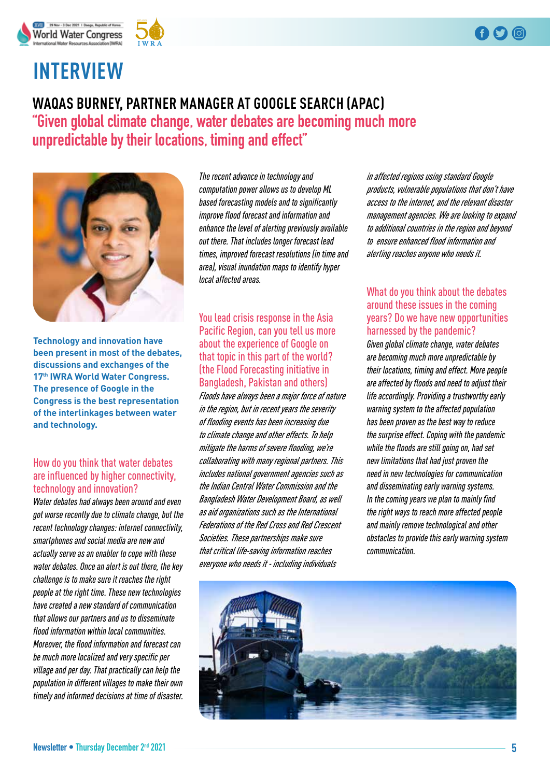## $\mathbf f$   $\mathbf O$   $\mathbf 0$





# **INTERVIEW**

## **WAQAS BURNEY, PARTNER MANAGER AT GOOGLE SEARCH (APAC) "Given global climate change, water debates are becoming much more unpredictable by their locations, timing and effect"**



**Technology and innovation have been present in most of the debates, discussions and exchanges of the 17th IWRA World Water Congress. The presence of Google in the Congress is the best representation of the interlinkages between water and technology.** 

### How do you think that water debates are influenced by higher connectivity, technology and innovation?

*Water debates had always been around and even got worse recently due to climate change, but the recent technology changes: internet connectivity, smartphones and social media are new and actually serve as an enabler to cope with these water debates. Once an alert is out there, the key challenge is to make sure it reaches the right people at the right time. These new technologies have created a new standard of communication that allows our partners and us to disseminate flood information within local communities. Moreover, the flood information and forecast can be much more localized and very specific per village and per day. That practically can help the population in different villages to make their own timely and informed decisions at time of disaster.*

*The recent advance in technology and computation power allows us to develop ML based forecasting models and to significantly improve flood forecast and information and enhance the level of alerting previously available out there. That includes longer forecast lead times, improved forecast resolutions (in time and area), visual inundation maps to identify hyper local affected areas.* 

You lead crisis response in the Asia Pacific Region, can you tell us more about the experience of Google on that topic in this part of the world? (the Flood Forecasting initiative in Bangladesh, Pakistan and others) *Floods have always been a major force of nature in the region, but in recent years the severity of flooding events has been increasing due to climate change and other effects. To help mitigate the harms of severe flooding, we're collaborating with many regional partners. This includes national government agencies such as the Indian Central Water Commission and the Bangladesh Water Development Board, as well as aid organizations such as the International Federations of the Red Cross and Red Crescent Societies. These partnerships make sure that critical life-saving information reaches everyone who needs it - including individuals* 

*in affected regions using standard Google products, vulnerable populations that don't have access to the internet, and the relevant disaster management agencies. We are looking to expand to additional countries in the region and beyond to ensure enhanced flood information and alerting reaches anyone who needs it.*

## What do you think about the debates around these issues in the coming years? Do we have new opportunities harnessed by the pandemic?

*Given global climate change, water debates are becoming much more unpredictable by their locations, timing and effect. More people are affected by floods and need to adjust their life accordingly. Providing a trustworthy early warning system to the affected population has been proven as the best way to reduce the surprise effect. Coping with the pandemic while the floods are still going on, had set new limitations that had just proven the need in new technologies for communication and disseminating early warning systems. In the coming years we plan to mainly find the right ways to reach more affected people and mainly remove technological and other obstacles to provide this early warning system communication.* 

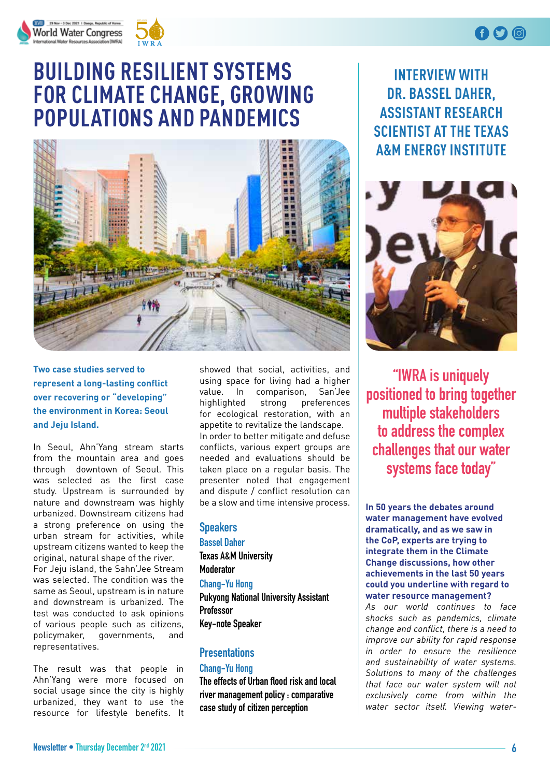



# **BUILDING RESILIENT SYSTEMS FOR CLIMATE CHANGE, GROWING POPULATIONS AND PANDEMICS**



## **Two case studies served to represent a long-lasting conflict over recovering or "developing" the environment in Korea: Seoul and Jeju Island.**

In Seoul, Ahn'Yang stream starts from the mountain area and goes through downtown of Seoul. This was selected as the first case study. Upstream is surrounded by nature and downstream was highly urbanized. Downstream citizens had a strong preference on using the urban stream for activities, while upstream citizens wanted to keep the original, natural shape of the river. For Jeju island, the Sahn'Jee Stream was selected. The condition was the same as Seoul, upstream is in nature and downstream is urbanized. The test was conducted to ask opinions of various people such as citizens, policymaker, governments, and representatives.

The result was that people in Ahn'Yang were more focused on social usage since the city is highly urbanized, they want to use the resource for lifestyle benefits. It showed that social, activities, and using space for living had a higher value. In comparison, San'Jee highlighted strong preferences for ecological restoration, with an appetite to revitalize the landscape. In order to better mitigate and defuse conflicts, various expert groups are needed and evaluations should be taken place on a regular basis. The presenter noted that engagement and dispute / conflict resolution can be a slow and time intensive process.

### **Speakers**

**Bassel Daher Texas A&M University Moderator Chang-Yu Hong Pukyong National University Assistant Professor Key-note Speaker**

## **Presentations**

#### **Chang-Yu Hong**

**The effects of Urban food risk and local river management policy : comparative case study of citizen perception**

**INTERVIEW WITH DR. BASSEL DAHER, ASSISTANT RESEARCH SCIENTIST AT THE TEXAS A&M ENERGY INSTITUTE**



**"IWRA is uniquely positioned to bring together multiple stakeholders to address the complex challenges that our water systems face today"**

**In 50 years the debates around water management have evolved dramatically, and as we saw in the CoP, experts are trying to integrate them in the Climate Change discussions, how other achievements in the last 50 years could you underline with regard to water resource management?** 

*As our world continues to face shocks such as pandemics, climate change and conflict, there is a need to improve our ability for rapid response in order to ensure the resilience and sustainability of water systems. Solutions to many of the challenges that face our water system will not exclusively come from within the water sector itself. Viewing water-*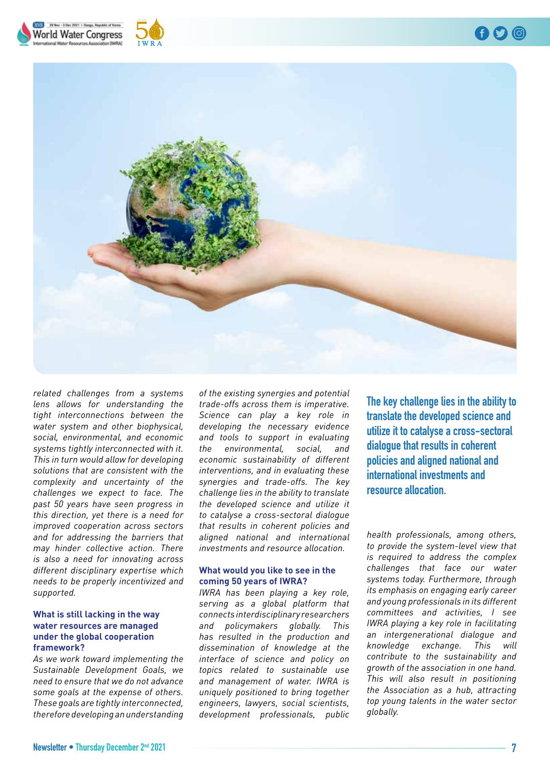





*related challenges from a systems lens allows for understanding the tight interconnections between the water system and other biophysical, social, environmental, and economic systems tightly interconnected with it. This in turn would allow for developing solutions that are consistent with the complexity and uncertainty of the challenges we expect to face. The past 50 years have seen progress in this direction, yet there is a need for improved cooperation across sectors and for addressing the barriers that may hinder collective action. There is also a need for innovating across different disciplinary expertise which needs to be properly incentivized and supported.* 

#### **What is still lacking in the way water resources are managed under the global cooperation framework?**

*As we work toward implementing the Sustainable Development Goals, we need to ensure that we do not advance some goals at the expense of others. These goals are tightly interconnected, therefore developing an understanding*  *of the existing synergies and potential trade-offs across them is imperative. Science can play a key role in developing the necessary evidence and tools to support in evaluating the environmental, social, and economic sustainability of different interventions, and in evaluating these synergies and trade-offs. The key challenge lies in the ability to translate the developed science and utilize it to catalyse a cross-sectoral dialogue that results in coherent policies and aligned national and international investments and resource allocation.*

#### **What would you like to see in the coming 50 years of IWRA?**

*IWRA has been playing a key role, serving as a global platform that connects interdisciplinary researchers and policymakers globally. This has resulted in the production and dissemination of knowledge at the interface of science and policy on topics related to sustainable use and management of water. IWRA is uniquely positioned to bring together engineers, lawyers, social scientists, development professionals, public* 

**The key challenge lies in the ability to translate the developed science and utilize it to catalyse a cross-sectoral dialogue that results in coherent policies and aligned national and international investments and resource allocation.**

*health professionals, among others, to provide the system-level view that is required to address the complex challenges that face our water systems today. Furthermore, through its emphasis on engaging early career and young professionals in its different committees and activities, I see IWRA playing a key role in facilitating an intergenerational dialogue and knowledge exchange. This will contribute to the sustainability and growth of the association in one hand. This will also result in positioning the Association as a hub, attracting top young talents in the water sector globally.*